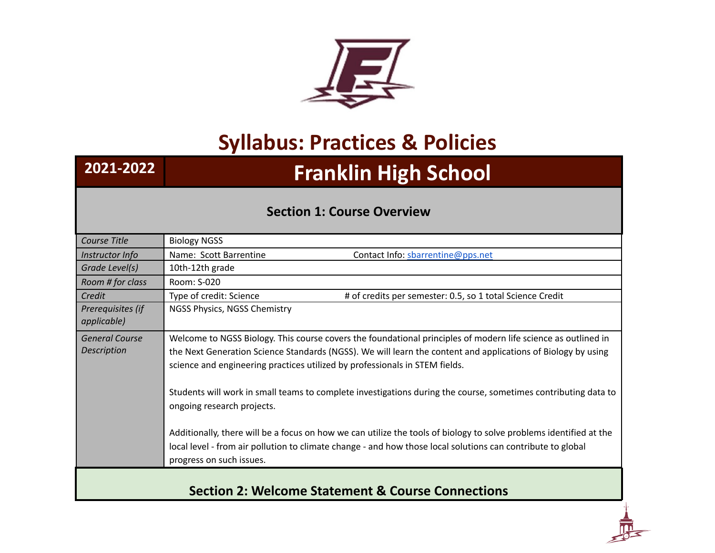

## **Syllabus: Practices & Policies**

## **2021-2022 Franklin High School**

## **Section 1: Course Overview**

| Course Title                             | <b>Biology NGSS</b>                                                                                                                                                                                                                                           |
|------------------------------------------|---------------------------------------------------------------------------------------------------------------------------------------------------------------------------------------------------------------------------------------------------------------|
| Instructor Info                          | Name: Scott Barrentine<br>Contact Info: sbarrentine@pps.net                                                                                                                                                                                                   |
| Grade Level(s)                           | 10th-12th grade                                                                                                                                                                                                                                               |
| Room # for class                         | Room: S-020                                                                                                                                                                                                                                                   |
| Credit                                   | Type of credit: Science<br># of credits per semester: 0.5, so 1 total Science Credit                                                                                                                                                                          |
| Prerequisites (if<br><i>applicable</i> ) | NGSS Physics, NGSS Chemistry                                                                                                                                                                                                                                  |
| <b>General Course</b>                    | Welcome to NGSS Biology. This course covers the foundational principles of modern life science as outlined in                                                                                                                                                 |
| Description                              | the Next Generation Science Standards (NGSS). We will learn the content and applications of Biology by using<br>science and engineering practices utilized by professionals in STEM fields.                                                                   |
|                                          | Students will work in small teams to complete investigations during the course, sometimes contributing data to<br>ongoing research projects.                                                                                                                  |
|                                          | Additionally, there will be a focus on how we can utilize the tools of biology to solve problems identified at the<br>local level - from air pollution to climate change - and how those local solutions can contribute to global<br>progress on such issues. |
|                                          | <b>Section 2: Welcome Statement &amp; Course Connections</b>                                                                                                                                                                                                  |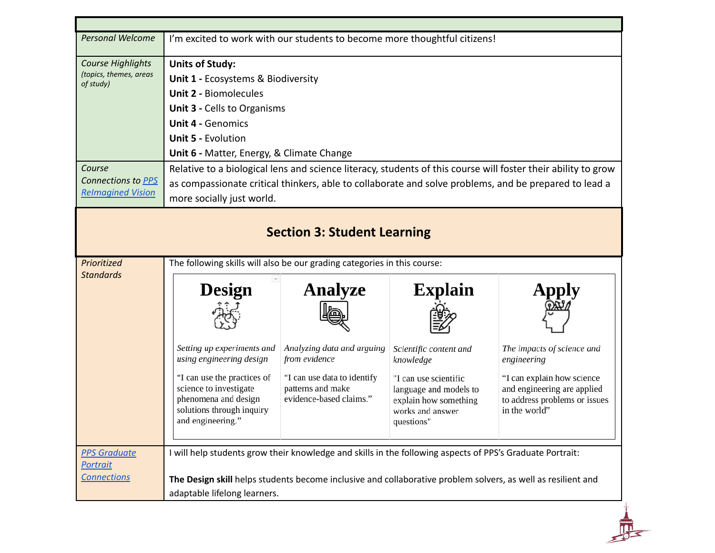| <b>Personal Welcome</b>                                                                                              | I'm excited to work with our students to become more thoughtful citizens!                                                                                                                                                                                                                                                                                                                                                                                                                       |                                                                                                                                              |                                                                                                                                                                     |                                                                                                                                                                          |
|----------------------------------------------------------------------------------------------------------------------|-------------------------------------------------------------------------------------------------------------------------------------------------------------------------------------------------------------------------------------------------------------------------------------------------------------------------------------------------------------------------------------------------------------------------------------------------------------------------------------------------|----------------------------------------------------------------------------------------------------------------------------------------------|---------------------------------------------------------------------------------------------------------------------------------------------------------------------|--------------------------------------------------------------------------------------------------------------------------------------------------------------------------|
| Course Highlights<br>(topics, themes, areas<br>of study)<br>Course<br>Connections to PPS<br><b>Relmagined Vision</b> | <b>Units of Study:</b><br>Unit 1 - Ecosystems & Biodiversity<br><b>Unit 2 - Biomolecules</b><br><b>Unit 3 - Cells to Organisms</b><br><b>Unit 4 - Genomics</b><br><b>Unit 5 - Evolution</b><br>Unit 6 - Matter, Energy, & Climate Change<br>Relative to a biological lens and science literacy, students of this course will foster their ability to grow<br>as compassionate critical thinkers, able to collaborate and solve problems, and be prepared to lead a<br>more socially just world. |                                                                                                                                              |                                                                                                                                                                     |                                                                                                                                                                          |
| Prioritized                                                                                                          | The following skills will also be our grading categories in this course:                                                                                                                                                                                                                                                                                                                                                                                                                        | <b>Section 3: Student Learning</b>                                                                                                           |                                                                                                                                                                     |                                                                                                                                                                          |
| <b>Standards</b>                                                                                                     | <b>Design</b><br>Setting up experiments and<br>using engineering design<br>"I can use the practices of<br>science to investigate<br>phenomena and design<br>solutions through inquiry<br>and engineering."                                                                                                                                                                                                                                                                                      | <b>Analyze</b><br>Analyzing data and arguing<br>from evidence<br>"I can use data to identify<br>patterns and make<br>evidence-based claims." | <b>Explain</b><br>Scientific content and<br>knowledge<br>"I can use scientific<br>language and models to<br>explain how something<br>works and answer<br>questions" | <b>Apply</b><br>The impacts of science and<br>engineering<br>"I can explain how science<br>and engineering are applied<br>to address problems or issues<br>in the world" |
| <b>PPS Graduate</b><br><b>Portrait</b><br><b>Connections</b>                                                         | I will help students grow their knowledge and skills in the following aspects of PPS's Graduate Portrait:<br>The Design skill helps students become inclusive and collaborative problem solvers, as well as resilient and<br>adaptable lifelong learners.                                                                                                                                                                                                                                       |                                                                                                                                              |                                                                                                                                                                     |                                                                                                                                                                          |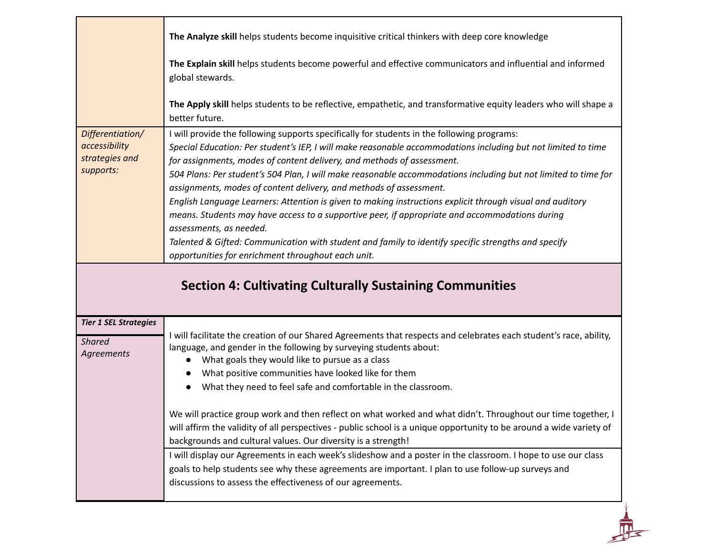| Differentiation/<br>accessibility<br>strategies and<br>supports: | The Analyze skill helps students become inquisitive critical thinkers with deep core knowledge<br>The Explain skill helps students become powerful and effective communicators and influential and informed<br>global stewards.<br>The Apply skill helps students to be reflective, empathetic, and transformative equity leaders who will shape a<br>better future.<br>I will provide the following supports specifically for students in the following programs:<br>Special Education: Per student's IEP, I will make reasonable accommodations including but not limited to time<br>for assignments, modes of content delivery, and methods of assessment.<br>504 Plans: Per student's 504 Plan, I will make reasonable accommodations including but not limited to time for<br>assignments, modes of content delivery, and methods of assessment.<br>English Language Learners: Attention is given to making instructions explicit through visual and auditory<br>means. Students may have access to a supportive peer, if appropriate and accommodations during<br>assessments, as needed.<br>Talented & Gifted: Communication with student and family to identify specific strengths and specify<br>opportunities for enrichment throughout each unit. |
|------------------------------------------------------------------|--------------------------------------------------------------------------------------------------------------------------------------------------------------------------------------------------------------------------------------------------------------------------------------------------------------------------------------------------------------------------------------------------------------------------------------------------------------------------------------------------------------------------------------------------------------------------------------------------------------------------------------------------------------------------------------------------------------------------------------------------------------------------------------------------------------------------------------------------------------------------------------------------------------------------------------------------------------------------------------------------------------------------------------------------------------------------------------------------------------------------------------------------------------------------------------------------------------------------------------------------------------|
|                                                                  | <b>Section 4: Cultivating Culturally Sustaining Communities</b>                                                                                                                                                                                                                                                                                                                                                                                                                                                                                                                                                                                                                                                                                                                                                                                                                                                                                                                                                                                                                                                                                                                                                                                              |
| <b>Tier 1 SEL Strategies</b><br><b>Shared</b><br>Agreements      | I will facilitate the creation of our Shared Agreements that respects and celebrates each student's race, ability,<br>language, and gender in the following by surveying students about:<br>What goals they would like to pursue as a class<br>$\bullet$<br>What positive communities have looked like for them<br>What they need to feel safe and comfortable in the classroom.<br>$\bullet$<br>We will practice group work and then reflect on what worked and what didn't. Throughout our time together, I<br>will affirm the validity of all perspectives - public school is a unique opportunity to be around a wide variety of<br>backgrounds and cultural values. Our diversity is a strength!<br>I will display our Agreements in each week's slideshow and a poster in the classroom. I hope to use our class<br>goals to help students see why these agreements are important. I plan to use follow-up surveys and<br>discussions to assess the effectiveness of our agreements.                                                                                                                                                                                                                                                                   |

 $\frac{1}{\sqrt{2}}$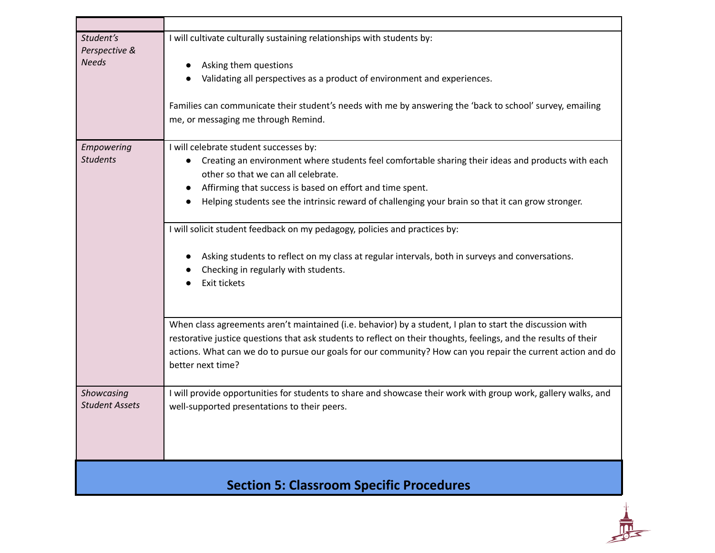| Student's<br>Perspective &<br><b>Needs</b> | I will cultivate culturally sustaining relationships with students by:<br>Asking them questions<br>Validating all perspectives as a product of environment and experiences.<br>Families can communicate their student's needs with me by answering the 'back to school' survey, emailing<br>me, or messaging me through Remind.                                                                                                                                                                                                                                                                |
|--------------------------------------------|------------------------------------------------------------------------------------------------------------------------------------------------------------------------------------------------------------------------------------------------------------------------------------------------------------------------------------------------------------------------------------------------------------------------------------------------------------------------------------------------------------------------------------------------------------------------------------------------|
| Empowering<br><b>Students</b>              | I will celebrate student successes by:<br>Creating an environment where students feel comfortable sharing their ideas and products with each<br>other so that we can all celebrate.<br>Affirming that success is based on effort and time spent.<br>Helping students see the intrinsic reward of challenging your brain so that it can grow stronger.<br>I will solicit student feedback on my pedagogy, policies and practices by:<br>Asking students to reflect on my class at regular intervals, both in surveys and conversations.<br>Checking in regularly with students.<br>Exit tickets |
|                                            | When class agreements aren't maintained (i.e. behavior) by a student, I plan to start the discussion with<br>restorative justice questions that ask students to reflect on their thoughts, feelings, and the results of their<br>actions. What can we do to pursue our goals for our community? How can you repair the current action and do<br>better next time?                                                                                                                                                                                                                              |
| Showcasing<br><b>Student Assets</b>        | I will provide opportunities for students to share and showcase their work with group work, gallery walks, and<br>well-supported presentations to their peers.                                                                                                                                                                                                                                                                                                                                                                                                                                 |
|                                            | <b>Section 5: Classroom Specific Procedures</b>                                                                                                                                                                                                                                                                                                                                                                                                                                                                                                                                                |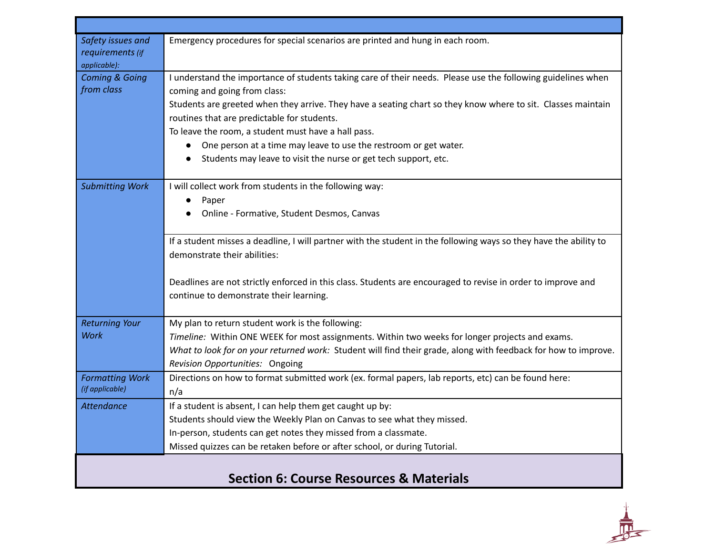| Safety issues and<br>requirements (if<br>applicable): | Emergency procedures for special scenarios are printed and hung in each room.                                                                                                                                                                                |
|-------------------------------------------------------|--------------------------------------------------------------------------------------------------------------------------------------------------------------------------------------------------------------------------------------------------------------|
| <b>Coming &amp; Going</b><br>from class               | I understand the importance of students taking care of their needs. Please use the following guidelines when<br>coming and going from class:<br>Students are greeted when they arrive. They have a seating chart so they know where to sit. Classes maintain |
|                                                       | routines that are predictable for students.                                                                                                                                                                                                                  |
|                                                       | To leave the room, a student must have a hall pass.                                                                                                                                                                                                          |
|                                                       | One person at a time may leave to use the restroom or get water.                                                                                                                                                                                             |
|                                                       | Students may leave to visit the nurse or get tech support, etc.                                                                                                                                                                                              |
|                                                       |                                                                                                                                                                                                                                                              |
| <b>Submitting Work</b>                                | I will collect work from students in the following way:                                                                                                                                                                                                      |
|                                                       | Paper<br>$\bullet$                                                                                                                                                                                                                                           |
|                                                       | Online - Formative, Student Desmos, Canvas                                                                                                                                                                                                                   |
|                                                       | If a student misses a deadline, I will partner with the student in the following ways so they have the ability to                                                                                                                                            |
|                                                       | demonstrate their abilities:                                                                                                                                                                                                                                 |
|                                                       |                                                                                                                                                                                                                                                              |
|                                                       | Deadlines are not strictly enforced in this class. Students are encouraged to revise in order to improve and                                                                                                                                                 |
|                                                       | continue to demonstrate their learning.                                                                                                                                                                                                                      |
|                                                       |                                                                                                                                                                                                                                                              |
| <b>Returning Your</b>                                 | My plan to return student work is the following:                                                                                                                                                                                                             |
| <b>Work</b>                                           | Timeline: Within ONE WEEK for most assignments. Within two weeks for longer projects and exams.                                                                                                                                                              |
|                                                       | What to look for on your returned work: Student will find their grade, along with feedback for how to improve.                                                                                                                                               |
|                                                       | Revision Opportunities: Ongoing                                                                                                                                                                                                                              |
| <b>Formatting Work</b>                                | Directions on how to format submitted work (ex. formal papers, lab reports, etc) can be found here:                                                                                                                                                          |
| (if applicable)                                       | n/a                                                                                                                                                                                                                                                          |
| <b>Attendance</b>                                     | If a student is absent, I can help them get caught up by:                                                                                                                                                                                                    |
|                                                       | Students should view the Weekly Plan on Canvas to see what they missed.                                                                                                                                                                                      |
|                                                       | In-person, students can get notes they missed from a classmate.                                                                                                                                                                                              |
|                                                       | Missed quizzes can be retaken before or after school, or during Tutorial.                                                                                                                                                                                    |
|                                                       |                                                                                                                                                                                                                                                              |
|                                                       | <b>Section 6: Course Resources &amp; Materials</b>                                                                                                                                                                                                           |

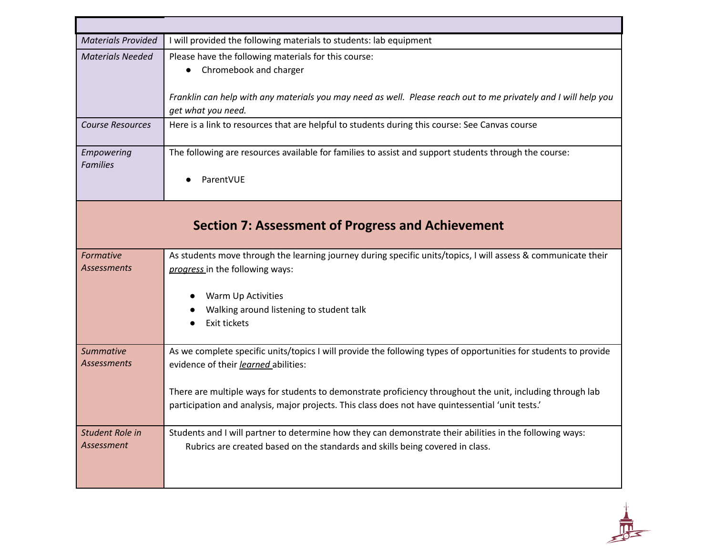| <b>Materials Provided</b>            | I will provided the following materials to students: lab equipment                                                                                                                                                                                                                                                                                                          |
|--------------------------------------|-----------------------------------------------------------------------------------------------------------------------------------------------------------------------------------------------------------------------------------------------------------------------------------------------------------------------------------------------------------------------------|
| <b>Materials Needed</b>              | Please have the following materials for this course:<br>Chromebook and charger<br>$\bullet$<br>Franklin can help with any materials you may need as well. Please reach out to me privately and I will help you                                                                                                                                                              |
|                                      | get what you need.                                                                                                                                                                                                                                                                                                                                                          |
| <b>Course Resources</b>              | Here is a link to resources that are helpful to students during this course: See Canvas course                                                                                                                                                                                                                                                                              |
| Empowering<br><b>Families</b>        | The following are resources available for families to assist and support students through the course:<br>ParentVUE                                                                                                                                                                                                                                                          |
|                                      | <b>Section 7: Assessment of Progress and Achievement</b>                                                                                                                                                                                                                                                                                                                    |
| Formative<br><b>Assessments</b>      | As students move through the learning journey during specific units/topics, I will assess & communicate their<br>progress in the following ways:<br>Warm Up Activities<br>Walking around listening to student talk<br>Exit tickets                                                                                                                                          |
| Summative<br><b>Assessments</b>      | As we complete specific units/topics I will provide the following types of opportunities for students to provide<br>evidence of their learned abilities:<br>There are multiple ways for students to demonstrate proficiency throughout the unit, including through lab<br>participation and analysis, major projects. This class does not have quintessential 'unit tests.' |
| Student Role in<br><b>Assessment</b> | Students and I will partner to determine how they can demonstrate their abilities in the following ways:<br>Rubrics are created based on the standards and skills being covered in class.                                                                                                                                                                                   |

 $\frac{1}{\sqrt{\frac{1}{1-\frac{1}{1-\frac{1}{1-\frac{1}{1-\frac{1}{1-\frac{1}{1-\frac{1}{1-\frac{1}{1-\frac{1}{1-\frac{1}{1-\frac{1}{1-\frac{1}{1-\frac{1}{1-\frac{1}{1-\frac{1}{1-\frac{1}{1-\frac{1}{1-\frac{1}{1-\frac{1}{1-\frac{1}{1-\frac{1}{1-\frac{1}{1-\frac{1}{1-\frac{1}{1-\frac{1}{1-\frac{1}{1-\frac{1}{1-\frac{1}{1-\frac{1}{1-\frac{1}{1-\frac{1}{1-\frac{1}{1-\frac{1}{1-\frac{1}{1-\frac{1}{1-\frac{$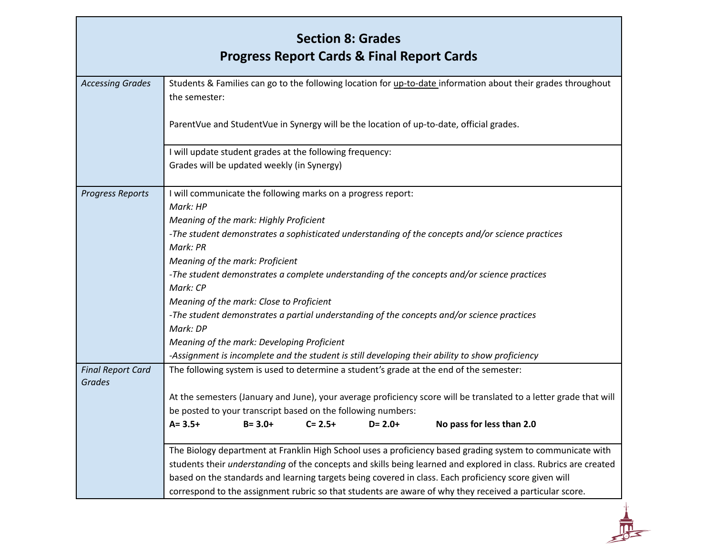|                                           | <b>Section 8: Grades</b>                                                                                                       |
|-------------------------------------------|--------------------------------------------------------------------------------------------------------------------------------|
|                                           | <b>Progress Report Cards &amp; Final Report Cards</b>                                                                          |
| <b>Accessing Grades</b>                   | Students & Families can go to the following location for up-to-date information about their grades throughout<br>the semester: |
|                                           | ParentVue and StudentVue in Synergy will be the location of up-to-date, official grades.                                       |
|                                           | I will update student grades at the following frequency:                                                                       |
|                                           | Grades will be updated weekly (in Synergy)                                                                                     |
| <b>Progress Reports</b>                   | I will communicate the following marks on a progress report:<br>Mark: HP                                                       |
|                                           | Meaning of the mark: Highly Proficient                                                                                         |
|                                           | -The student demonstrates a sophisticated understanding of the concepts and/or science practices                               |
|                                           | Mark: PR                                                                                                                       |
|                                           | Meaning of the mark: Proficient                                                                                                |
|                                           | -The student demonstrates a complete understanding of the concepts and/or science practices                                    |
|                                           | Mark: CP                                                                                                                       |
|                                           | Meaning of the mark: Close to Proficient                                                                                       |
|                                           | -The student demonstrates a partial understanding of the concepts and/or science practices                                     |
|                                           | Mark: DP                                                                                                                       |
|                                           | Meaning of the mark: Developing Proficient                                                                                     |
|                                           | -Assignment is incomplete and the student is still developing their ability to show proficiency                                |
| <b>Final Report Card</b><br><b>Grades</b> | The following system is used to determine a student's grade at the end of the semester:                                        |
|                                           | At the semesters (January and June), your average proficiency score will be translated to a letter grade that will             |
|                                           | be posted to your transcript based on the following numbers:                                                                   |
|                                           | $A = 3.5+$<br>$B = 3.0+$<br>$C = 2.5+$<br>No pass for less than 2.0<br>$D = 2.0+$                                              |
|                                           | The Biology department at Franklin High School uses a proficiency based grading system to communicate with                     |
|                                           | students their understanding of the concepts and skills being learned and explored in class. Rubrics are created               |
|                                           | based on the standards and learning targets being covered in class. Each proficiency score given will                          |
|                                           | correspond to the assignment rubric so that students are aware of why they received a particular score.                        |

**A**